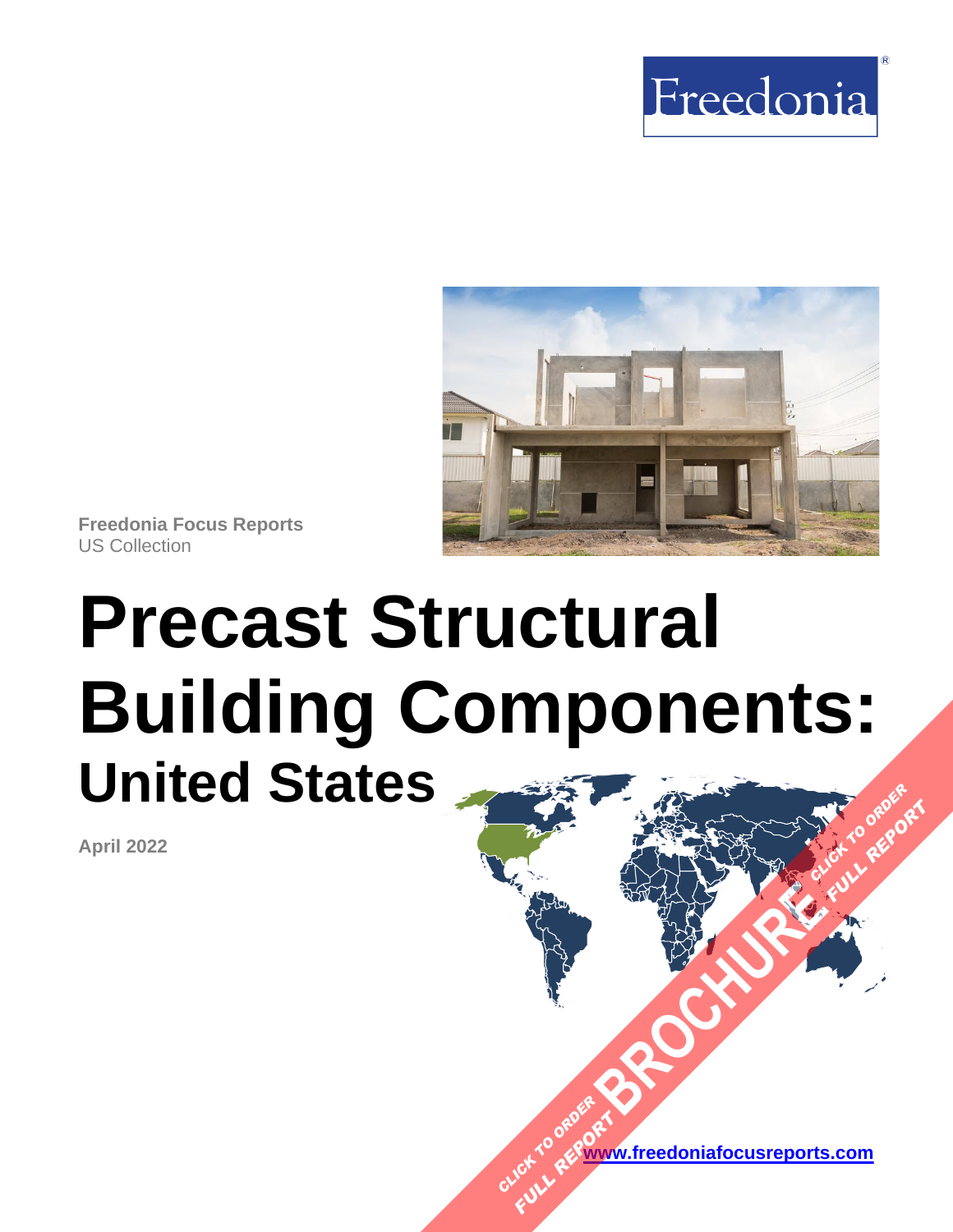



**Freedonia Focus Reports** US Collection

# **Precast Structural Building Components: United States [BROCHURE](https://www.freedoniafocusreports.com/Precast-Structural-Building-Components-United-States-FF60082/?progid=89541) CLICK TO ORDER FULL REPORT**

**April 2022**

**[www.freedoniafocusreports.com](https://www.freedoniafocusreports.com/redirect.asp?progid=89534&url=/)** CLICK TO ORDER **FULL REPORT**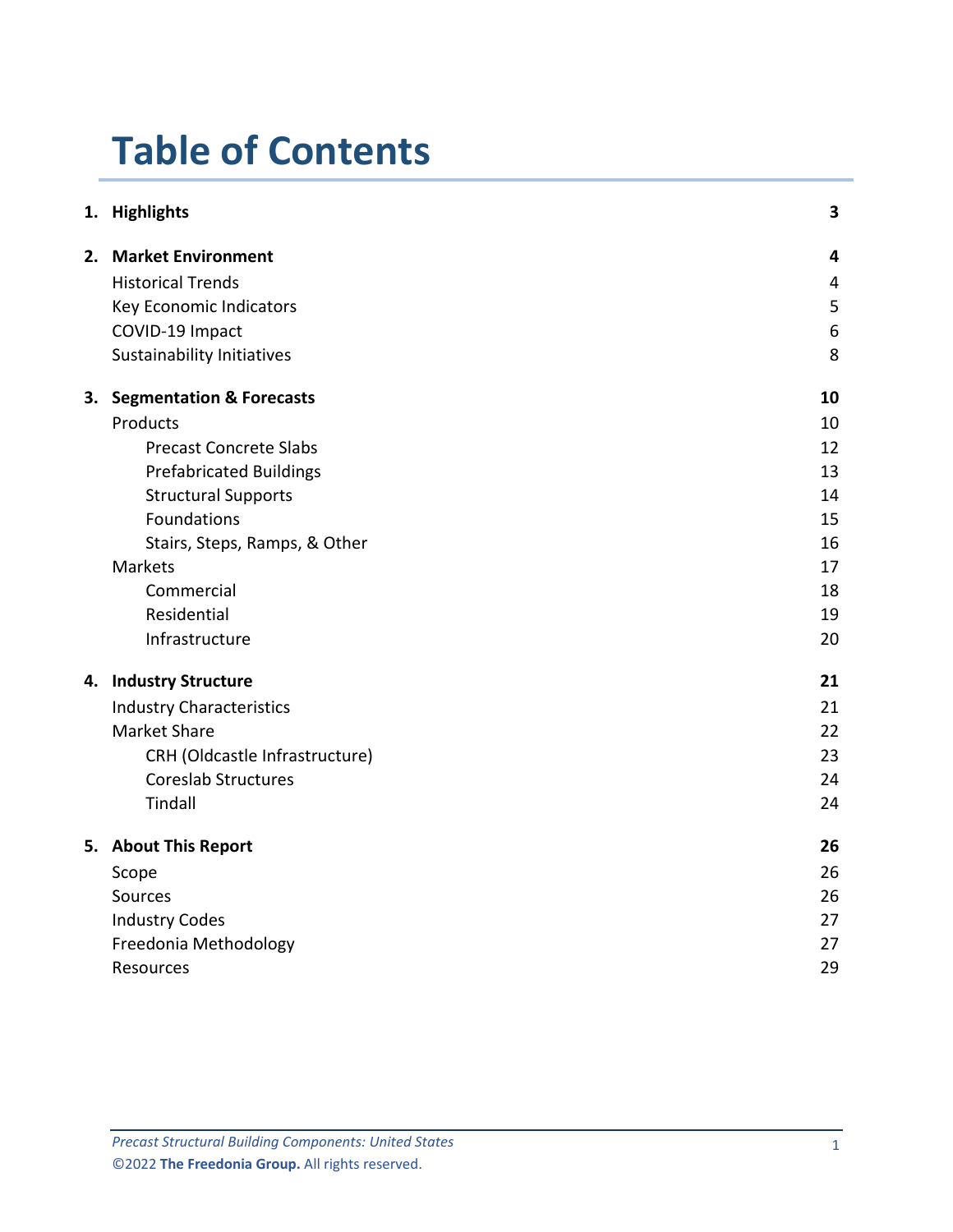# **Table of Contents**

|  | 1. Highlights                   | 3  |
|--|---------------------------------|----|
|  | 2. Market Environment           | 4  |
|  | <b>Historical Trends</b>        | 4  |
|  | Key Economic Indicators         | 5  |
|  | COVID-19 Impact                 | 6  |
|  | Sustainability Initiatives      | 8  |
|  | 3. Segmentation & Forecasts     | 10 |
|  | Products                        | 10 |
|  | <b>Precast Concrete Slabs</b>   | 12 |
|  | <b>Prefabricated Buildings</b>  | 13 |
|  | <b>Structural Supports</b>      | 14 |
|  | Foundations                     | 15 |
|  | Stairs, Steps, Ramps, & Other   | 16 |
|  | Markets                         | 17 |
|  | Commercial                      | 18 |
|  | Residential                     | 19 |
|  | Infrastructure                  | 20 |
|  | 4. Industry Structure           | 21 |
|  | <b>Industry Characteristics</b> | 21 |
|  | <b>Market Share</b>             | 22 |
|  | CRH (Oldcastle Infrastructure)  | 23 |
|  | <b>Coreslab Structures</b>      | 24 |
|  | Tindall                         | 24 |
|  | 5. About This Report            | 26 |
|  | Scope                           | 26 |
|  | Sources                         | 26 |
|  | <b>Industry Codes</b>           | 27 |
|  | Freedonia Methodology           | 27 |
|  | Resources                       | 29 |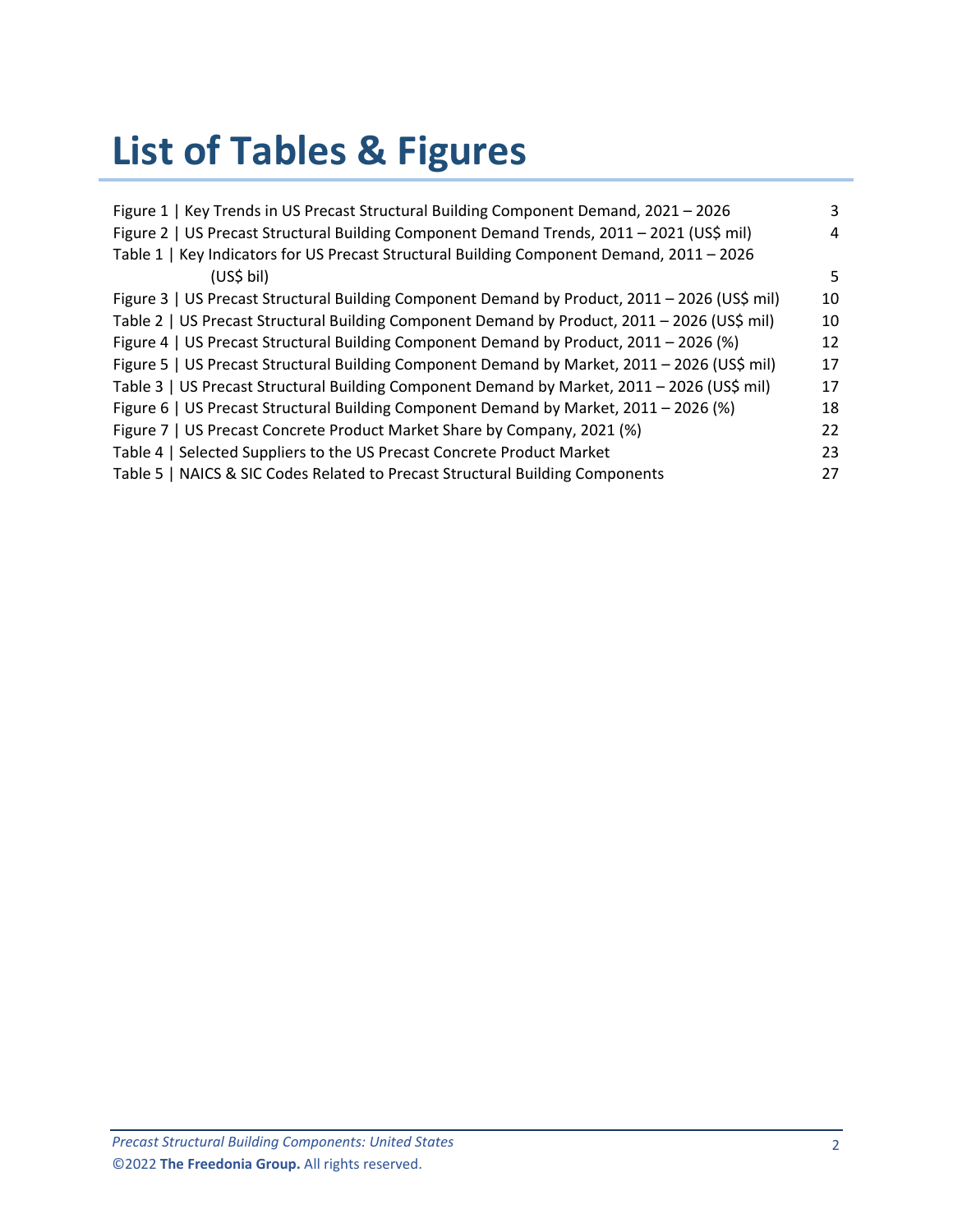# **List of Tables & Figures**

| Figure 1   Key Trends in US Precast Structural Building Component Demand, 2021 - 2026         | 3  |
|-----------------------------------------------------------------------------------------------|----|
| Figure 2   US Precast Structural Building Component Demand Trends, 2011 - 2021 (US\$ mil)     | 4  |
| Table 1   Key Indicators for US Precast Structural Building Component Demand, 2011 - 2026     |    |
| (US\$ bil)                                                                                    | 5. |
| Figure 3   US Precast Structural Building Component Demand by Product, 2011 - 2026 (US\$ mil) | 10 |
| Table 2   US Precast Structural Building Component Demand by Product, 2011 - 2026 (US\$ mil)  | 10 |
| Figure 4   US Precast Structural Building Component Demand by Product, 2011 - 2026 (%)        | 12 |
| Figure 5   US Precast Structural Building Component Demand by Market, 2011 - 2026 (US\$ mil)  | 17 |
| Table 3   US Precast Structural Building Component Demand by Market, 2011 - 2026 (US\$ mil)   | 17 |
| Figure 6   US Precast Structural Building Component Demand by Market, 2011 - 2026 (%)         | 18 |
| Figure 7   US Precast Concrete Product Market Share by Company, 2021 (%)                      | 22 |
| Table 4   Selected Suppliers to the US Precast Concrete Product Market                        | 23 |
| Table 5   NAICS & SIC Codes Related to Precast Structural Building Components                 | 27 |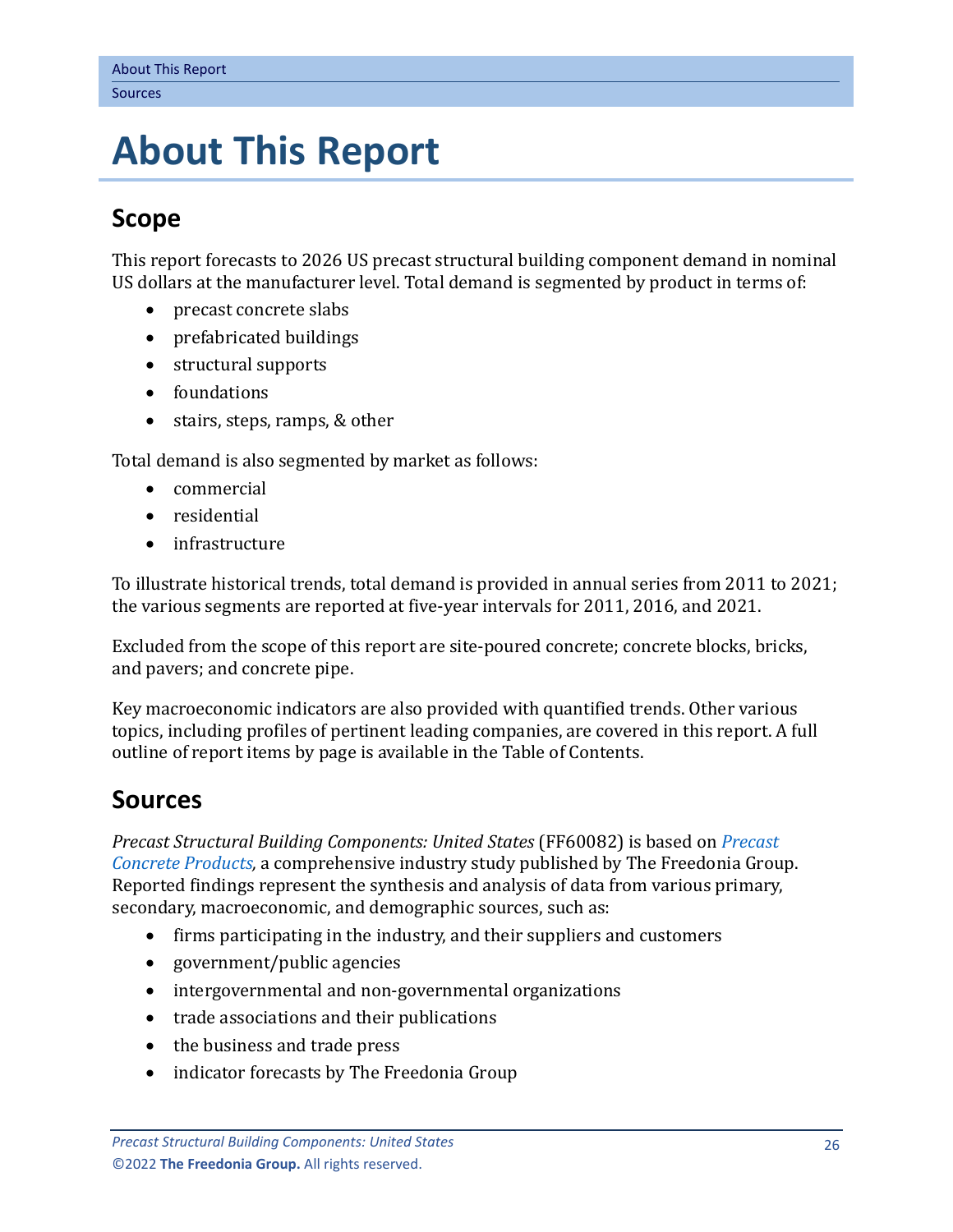# <span id="page-3-0"></span>**5. About This Report**

# <span id="page-3-1"></span>**Scope**

This report forecasts to 2026 US precast structural building component demand in nominal US dollars at the manufacturer level. Total demand is segmented by product in terms of:

- precast concrete slabs
- prefabricated buildings
- structural supports
- foundations
- stairs, steps, ramps, & other

Total demand is also segmented by market as follows:

- commercial
- residential
- infrastructure

To illustrate historical trends, total demand is provided in annual series from 2011 to 2021; the various segments are reported at five-year intervals for 2011, 2016, and 2021.

Excluded from the scope of this report are site-poured concrete; concrete blocks, bricks, and pavers; and concrete pipe.

Key macroeconomic indicators are also provided with quantified trends. Other various topics, including profiles of pertinent leading companies, are covered in this report. A full outline of report items by page is available in the Table of Contents.

## <span id="page-3-2"></span>**Sources**

*Precast Structural Building Components: United States* (FF60082) is based on *[Precast](http://www.freedoniagroup.com/DocumentDetails.aspx?ReferrerId=FL-FOCUS&studyid=4268)  [Concrete Products,](http://www.freedoniagroup.com/DocumentDetails.aspx?ReferrerId=FL-FOCUS&studyid=4268)* a comprehensive industry study published by The Freedonia Group. Reported findings represent the synthesis and analysis of data from various primary, secondary, macroeconomic, and demographic sources, such as:

- firms participating in the industry, and their suppliers and customers
- government/public agencies
- intergovernmental and non-governmental organizations
- trade associations and their publications
- the business and trade press
- indicator forecasts by The Freedonia Group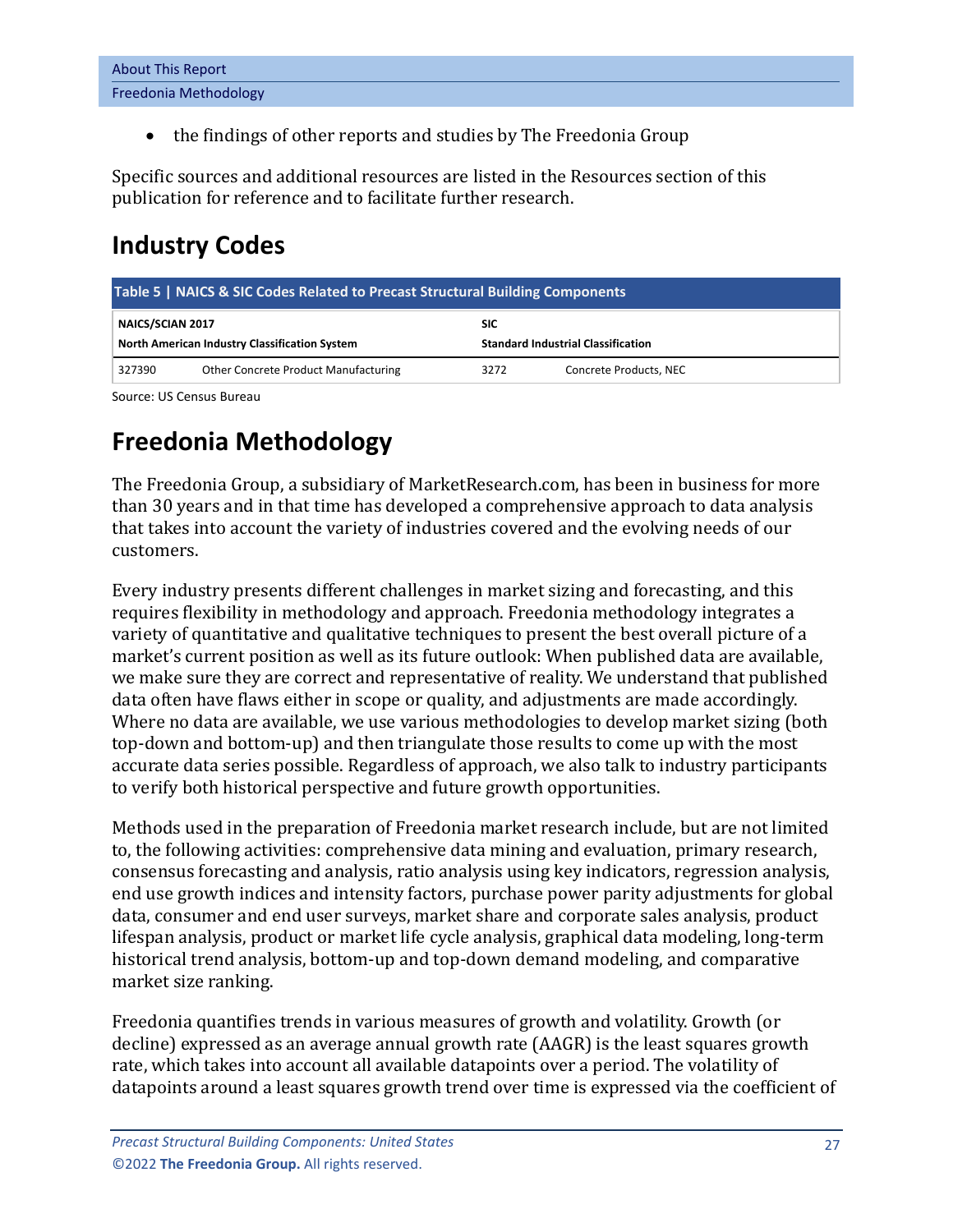| <b>About This Report</b> |  |
|--------------------------|--|
| Freedonia Methodology    |  |

• the findings of other reports and studies by The Freedonia Group

Specific sources and additional resources are listed in the Resources section of this publication for reference and to facilitate further research.

# <span id="page-4-0"></span>**Industry Codes**

<span id="page-4-2"></span>

| Table 5   NAICS & SIC Codes Related to Precast Structural Building Components |                                      |                                                         |                        |  |  |  |  |  |  |
|-------------------------------------------------------------------------------|--------------------------------------|---------------------------------------------------------|------------------------|--|--|--|--|--|--|
| NAICS/SCIAN 2017<br>North American Industry Classification System             |                                      | <b>SIC</b><br><b>Standard Industrial Classification</b> |                        |  |  |  |  |  |  |
| 327390                                                                        | Other Concrete Product Manufacturing | 3272                                                    | Concrete Products, NEC |  |  |  |  |  |  |

Source: US Census Bureau

# <span id="page-4-1"></span>**Freedonia Methodology**

The Freedonia Group, a subsidiary of MarketResearch.com, has been in business for more than 30 years and in that time has developed a comprehensive approach to data analysis that takes into account the variety of industries covered and the evolving needs of our customers.

Every industry presents different challenges in market sizing and forecasting, and this requires flexibility in methodology and approach. Freedonia methodology integrates a variety of quantitative and qualitative techniques to present the best overall picture of a market's current position as well as its future outlook: When published data are available, we make sure they are correct and representative of reality. We understand that published data often have flaws either in scope or quality, and adjustments are made accordingly. Where no data are available, we use various methodologies to develop market sizing (both top-down and bottom-up) and then triangulate those results to come up with the most accurate data series possible. Regardless of approach, we also talk to industry participants to verify both historical perspective and future growth opportunities.

Methods used in the preparation of Freedonia market research include, but are not limited to, the following activities: comprehensive data mining and evaluation, primary research, consensus forecasting and analysis, ratio analysis using key indicators, regression analysis, end use growth indices and intensity factors, purchase power parity adjustments for global data, consumer and end user surveys, market share and corporate sales analysis, product lifespan analysis, product or market life cycle analysis, graphical data modeling, long-term historical trend analysis, bottom-up and top-down demand modeling, and comparative market size ranking.

Freedonia quantifies trends in various measures of growth and volatility. Growth (or decline) expressed as an average annual growth rate (AAGR) is the least squares growth rate, which takes into account all available datapoints over a period. The volatility of datapoints around a least squares growth trend over time is expressed via the coefficient of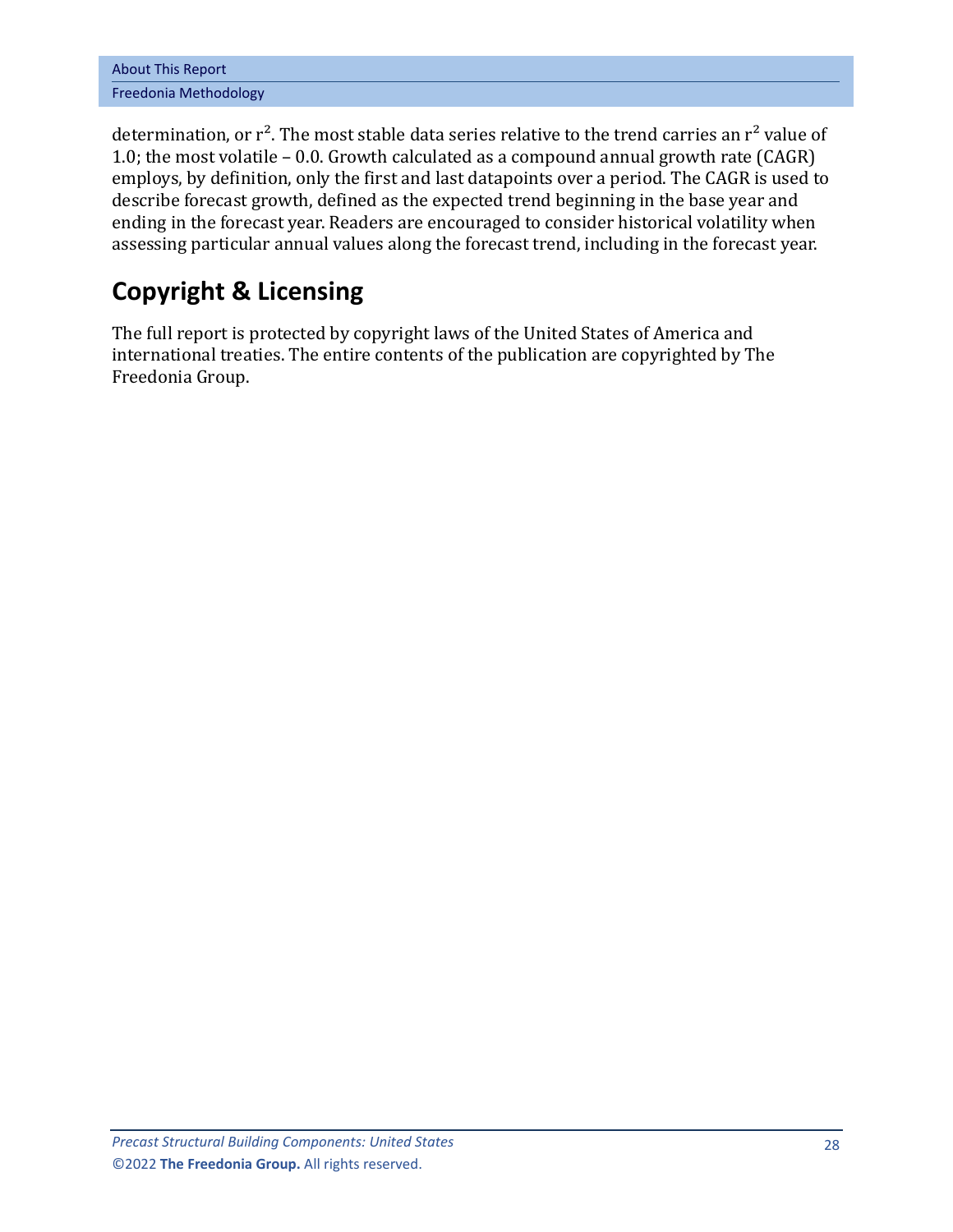| <b>About This Report</b> |  |  |  |  |
|--------------------------|--|--|--|--|
| Freedonia Methodology    |  |  |  |  |

determination, or  $r^2$ . The most stable data series relative to the trend carries an  $r^2$  value of 1.0; the most volatile – 0.0. Growth calculated as a compound annual growth rate (CAGR) employs, by definition, only the first and last datapoints over a period. The CAGR is used to describe forecast growth, defined as the expected trend beginning in the base year and ending in the forecast year. Readers are encouraged to consider historical volatility when assessing particular annual values along the forecast trend, including in the forecast year.

# **Copyright & Licensing**

The full report is protected by copyright laws of the United States of America and international treaties. The entire contents of the publication are copyrighted by The Freedonia Group.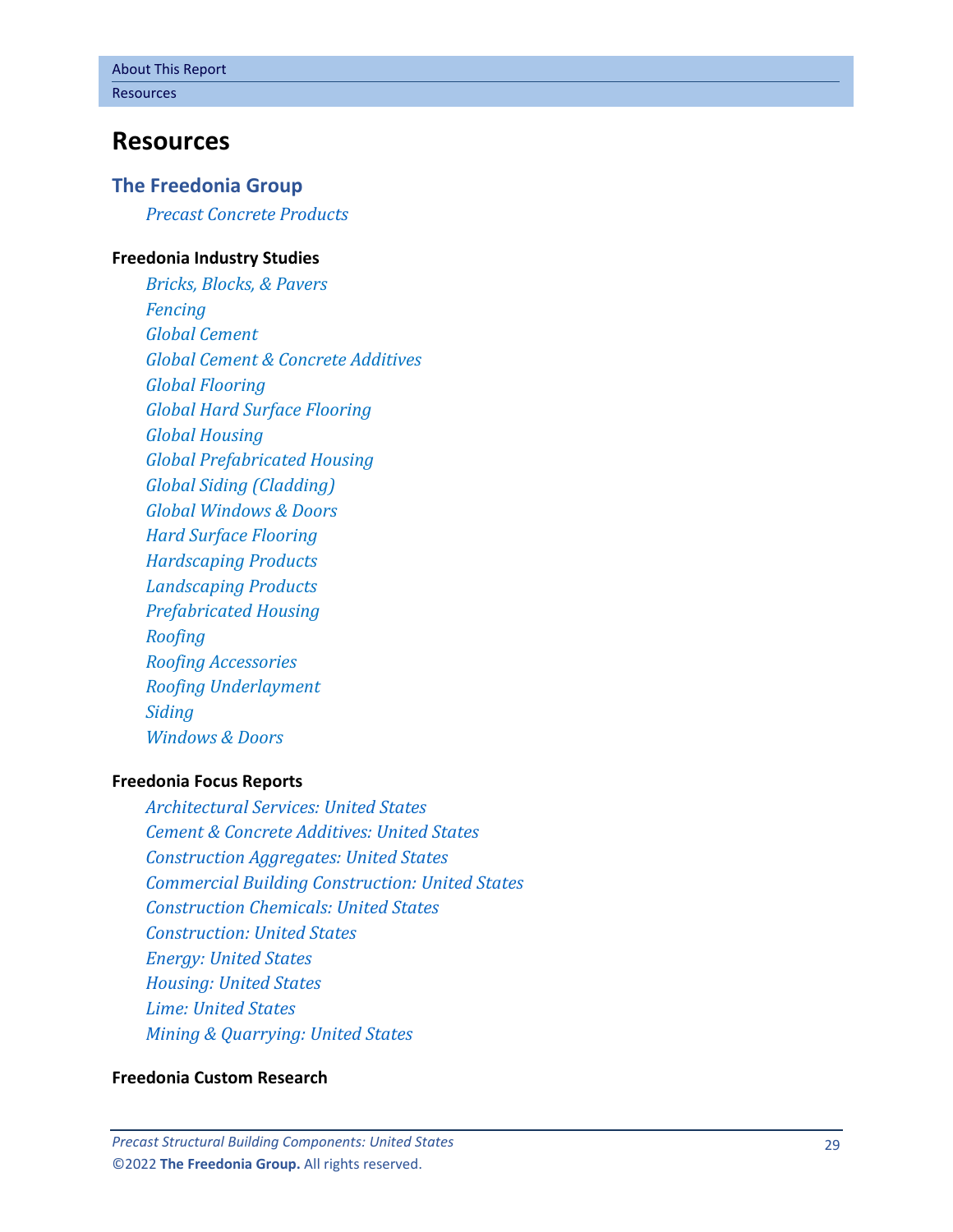## <span id="page-6-0"></span>**Resources**

#### **The Freedonia Group**

*[Precast Concrete Products](http://www.freedoniagroup.com/DocumentDetails.aspx?ReferrerId=FL-FOCUS&studyid=4268)*

#### **[Freedonia Industry Studies](http://www.freedoniagroup.com/Home.aspx?ReferrerId=FL-Focus)**

*[Bricks, Blocks, & Pavers](https://www.freedoniagroup.com/DocumentDetails.aspx?ReferrerId=FL-FOCUS&StudyId=4141) [Fencing](https://www.freedoniagroup.com/DocumentDetails.aspx?ReferrerId=FL-FOCUS&StudyId=3824) [Global Cement](https://www.freedoniagroup.com/DocumentDetails.aspx?ReferrerId=FL-FOCUS&StudyId=4147) [Global Cement & Concrete Additives](https://www.freedoniagroup.com/DocumentDetails.aspx?ReferrerId=FL-FOCUS&StudyId=3748) [Global Flooring](https://www.freedoniagroup.com/DocumentDetails.aspx?ReferrerId=FL-FOCUS&StudyId=4042) [Global Hard Surface Flooring](https://www.freedoniagroup.com/DocumentDetails.aspx?ReferrerId=FL-FOCUS&StudyId=4156) [Global Housing](https://www.freedoniagroup.com/DocumentDetails.aspx?ReferrerId=FL-FOCUS&StudyId=4331) [Global Prefabricated Housing](https://www.freedoniagroup.com/DocumentDetails.aspx?ReferrerId=FL-FOCUS&StudyId=3971) [Global Siding \(Cladding\)](https://www.freedoniagroup.com/DocumentDetails.aspx?ReferrerId=FL-FOCUS&StudyId=3874) [Global Windows & Doors](https://www.freedoniagroup.com/DocumentDetails.aspx?ReferrerId=FL-FOCUS&StudyId=4303) [Hard Surface Flooring](https://www.freedoniagroup.com/DocumentDetails.aspx?ReferrerId=FL-FOCUS&StudyId=3989) [Hardscaping Products](https://www.freedoniagroup.com/DocumentDetails.aspx?ReferrerId=FL-FOCUS&StudyId=4259) [Landscaping Products](https://www.freedoniagroup.com/DocumentDetails.aspx?ReferrerId=FL-FOCUS&StudyId=4151) [Prefabricated Housing](https://www.freedoniagroup.com/DocumentDetails.aspx?ReferrerId=FL-FOCUS&StudyId=3814) [Roofing](https://www.freedoniagroup.com/DocumentDetails.aspx?ReferrerId=FL-FOCUS&StudyId=4216) [Roofing Accessories](https://www.freedoniagroup.com/DocumentDetails.aspx?ReferrerId=FL-FOCUS&StudyId=4291) [Roofing Underlayment](https://www.freedoniagroup.com/DocumentDetails.aspx?ReferrerId=FL-FOCUS&StudyId=4355) [Siding](https://www.freedoniagroup.com/DocumentDetails.aspx?ReferrerId=FL-FOCUS&StudyId=4152) [Windows & Doors](https://www.freedoniagroup.com/DocumentDetails.aspx?ReferrerId=FL-FOCUS&StudyId=3726)*

#### **[Freedonia Focus Reports](https://www.freedoniafocusreports.com/redirect.asp?progid=89534&url=/)**

*[Architectural Services: United States](https://www.freedoniafocusreports.com/Architectural-Services-United-States-FF95039/?progid=89534) [Cement & Concrete Additives: United States](https://www.freedoniafocusreports.com/Cement-Concrete-Additives-United-States-FF60050/?progid=89534) [Construction Aggregates: United States](https://www.freedoniafocusreports.com/Construction-Aggregates-United-States-FF60046/?progid=89534) [Commercial Building Construction: United States](https://www.freedoniafocusreports.com/Commercial-Building-Construction-United-States-FF60032/?progid=89534) [Construction Chemicals: United States](https://www.freedoniafocusreports.com/Construction-Chemicals-United-States-FF35053/?progid=89534) [Construction: United States](https://www.freedoniafocusreports.com/Construction-United-States-FF60054/?progid=89534) [Energy: United States](https://www.freedoniafocusreports.com/Energy-United-States-FF45043/?progid=89534) [Housing: United States](https://www.freedoniafocusreports.com/Housing-United-States-FF60024/?progid=89534) [Lime: United States](https://www.freedoniafocusreports.com/Lime-United-States-FF60030/?progid=89534) [Mining & Quarrying: United States](https://www.freedoniafocusreports.com/Mining-Quarrying-United-States-FF65051/?progid=89534)*

#### **[Freedonia Custom Research](http://www.freedoniagroup.com/CustomResearch.aspx?ReferrerId=FL-Focus)**